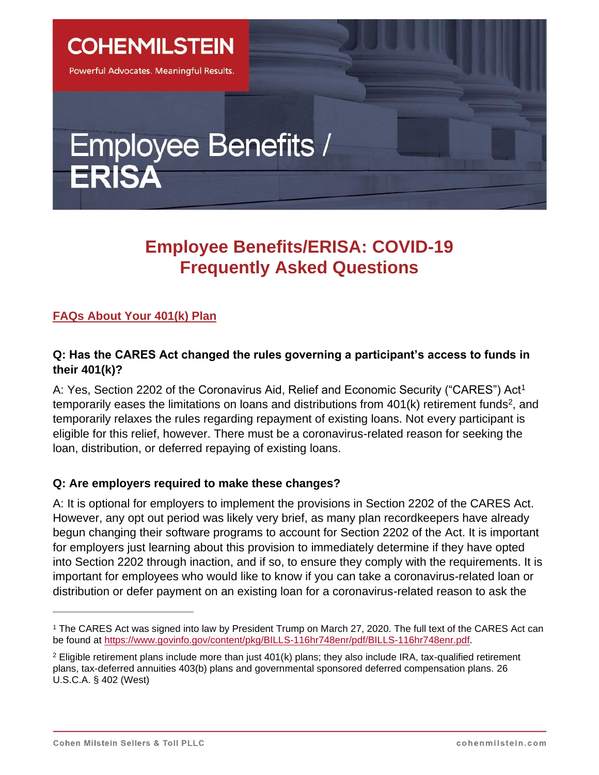**COHENMILSTEIN** 

Powerful Advocates. Meaningful Results.

# **Employee Benefits / ERISA**

## **Employee Benefits/ERISA: COVID-19 Frequently Asked Questions**

### **FAQs About Your 401(k) Plan**

#### **Q: Has the CARES Act changed the rules governing a participant's access to funds in their 401(k)?**

A: Yes, Section 2202 of the [Coronavirus Aid, Relief and Economic Security \("CARES"\) Act](https://www.congress.gov/bill/116th-congress/house-bill/748/text#HAF5CB1F9C9E54B4190064408F9F80756)<sup>1</sup> temporarily eases the limitations on loans and distributions from  $401(k)$  retirement funds<sup>2</sup>, and temporarily relaxes the rules regarding repayment of existing loans. Not every participant is eligible for this relief, however. There must be a coronavirus-related reason for seeking the loan, distribution, or deferred repaying of existing loans.

#### **Q: Are employers required to make these changes?**

A: It is optional for employers to implement the provisions in Section 2202 of the CARES Act. However, any opt out period was likely very brief, as many plan recordkeepers have already begun changing their software programs to account for Section 2202 of the Act. It is important for employers just learning about this provision to immediately determine if they have opted into Section 2202 through inaction, and if so, to ensure they comply with the requirements. It is important for employees who would like to know if you can take a coronavirus-related loan or distribution or defer payment on an existing loan for a coronavirus-related reason to ask the

<sup>1</sup> The CARES Act was signed into law by President Trump on March 27, 2020. The full text of the CARES Act can be found at [https://www.govinfo.gov/content/pkg/BILLS-116hr748enr/pdf/BILLS-116hr748enr.pdf.](https://www.govinfo.gov/content/pkg/BILLS-116hr748enr/pdf/BILLS-116hr748enr.pdf)

 $2$  Eligible retirement plans include more than just 401(k) plans; they also include IRA, tax-qualified retirement plans, tax-deferred annuities 403(b) plans and governmental sponsored deferred compensation plans. 26 U.S.C.A. § 402 (West)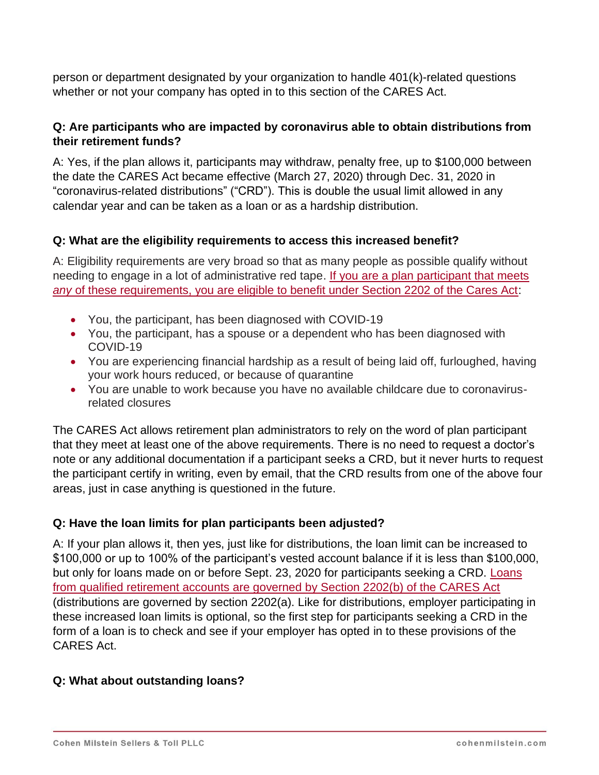person or department designated by your organization to handle 401(k)-related questions whether or not your company has opted in to this section of the CARES Act.

#### **Q: Are participants who are impacted by coronavirus able to obtain distributions from their retirement funds?**

A: Yes, if the plan allows it, participants may withdraw, penalty free, up to \$100,000 between the date the CARES Act became effective (March 27, 2020) through Dec. 31, 2020 in "coronavirus-related distributions" ("CRD"). This is double the usual limit allowed in any calendar year and can be taken as a loan or as a hardship distribution.

#### **Q: What are the eligibility requirements to access this increased benefit?**

A: Eligibility requirements are very broad so that as many people as possible qualify without needing to engage in a lot of administrative red tape. [If you are a plan participant that meets](https://www.congress.gov/bill/116th-congress/house-bill/748/text#HBBA5988CCEEC48099304F419AB05D7CA)  *any* [of these requirements, you are eligible to benefit under Section 2202 of the Cares Act:](https://www.congress.gov/bill/116th-congress/house-bill/748/text#HBBA5988CCEEC48099304F419AB05D7CA)

- You, the participant, has been diagnosed with COVID-19
- You, the participant, has a spouse or a dependent who has been diagnosed with COVID-19
- You are experiencing financial hardship as a result of being laid off, furloughed, having your work hours reduced, or because of quarantine
- You are unable to work because you have no available childcare due to coronavirusrelated closures

The CARES Act allows retirement plan administrators to rely on the word of plan participant that they meet at least one of the above requirements. There is no need to request a doctor's note or any additional documentation if a participant seeks a CRD, but it never hurts to request the participant certify in writing, even by email, that the CRD results from one of the above four areas, just in case anything is questioned in the future.

#### **Q: Have the loan limits for plan participants been adjusted?**

A: If your plan allows it, then yes, just like for distributions, the loan limit can be increased to \$100,000 or up to 100% of the participant's vested account balance if it is less than \$100,000, but only for loans made on or before Sept. 23, 2020 for participants seeking a CRD. Loans [from qualified retirement accounts are governed by Section 2202\(b\) of the CARES Act](https://www.congress.gov/bill/116th-congress/house-bill/748/text#H2439FA56E2CB48FA852FC13F81C251D2) (distributions are governed by section 2202(a). Like for distributions, employer participating in these increased loan limits is optional, so the first step for participants seeking a CRD in the form of a loan is to check and see if your employer has opted in to these provisions of the CARES Act.

#### **Q: What about outstanding loans?**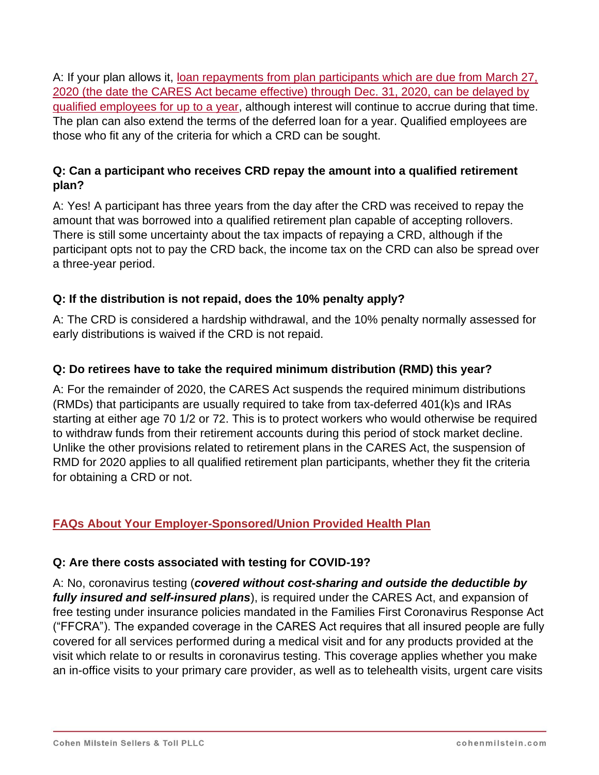A: If your plan allows it, [loan repayments from plan participants which are due from March 27,](https://www.congress.gov/bill/116th-congress/house-bill/748/text#H8BD056639A9E4FB69587069BE4833246)  [2020 \(the date the CARES Act became effective\) through Dec.](https://www.congress.gov/bill/116th-congress/house-bill/748/text#H8BD056639A9E4FB69587069BE4833246) 31, 2020, can be delayed by [qualified employees for up to a year,](https://www.congress.gov/bill/116th-congress/house-bill/748/text#H8BD056639A9E4FB69587069BE4833246) although interest will continue to accrue during that time. The plan can also extend the terms of the deferred loan for a year. Qualified employees are those who fit any of the criteria for which a CRD can be sought.

#### **Q: Can a participant who receives CRD repay the amount into a qualified retirement plan?**

A: Yes! A participant has three years from the day after the CRD was received to repay the amount that was borrowed into a qualified retirement plan capable of accepting rollovers. There is still some uncertainty about the tax impacts of repaying a CRD, although if the participant opts not to pay the CRD back, the income tax on the CRD can also be spread over a three-year period.

#### **Q: If the distribution is not repaid, does the 10% penalty apply?**

A: The CRD is considered a hardship withdrawal, and the 10% penalty normally assessed for early distributions is waived if the CRD is not repaid.

#### **Q: Do retirees have to take the required minimum distribution (RMD) this year?**

A: For the remainder of 2020, the CARES Act suspends the required minimum distributions (RMDs) that participants are usually required to take from tax-deferred 401(k)s and IRAs starting at either age 70 1/2 or 72. This is to protect workers who would otherwise be required to withdraw funds from their retirement accounts during this period of stock market decline. Unlike the other provisions related to retirement plans in the CARES Act, the suspension of RMD for 2020 applies to all qualified retirement plan participants, whether they fit the criteria for obtaining a CRD or not.

#### **FAQs About Your Employer-Sponsored/Union Provided Health Plan**

#### **Q: Are there costs associated with testing for COVID-19?**

A: No, coronavirus testing (*covered without cost-sharing and outside the deductible by fully insured and self-insured plans*), is required under the CARES Act, and expansion of free testing under insurance policies mandated in the Families First Coronavirus Response Act ("FFCRA"). The expanded coverage in the CARES Act requires that all insured people are fully covered for all services performed during a medical visit and for any products provided at the visit which relate to or results in coronavirus testing. This coverage applies whether you make an in-office visits to your primary care provider, as well as to telehealth visits, urgent care visits